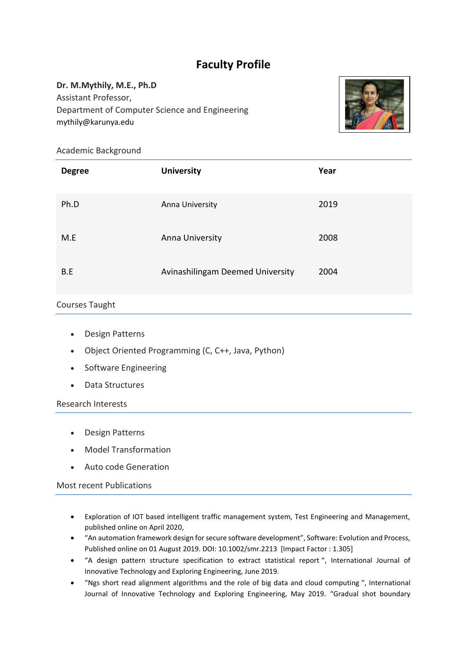# **Faculty Profile**

## **Dr. M.Mythily, M.E., Ph.D**

Assistant Professor, Department of Computer Science and Engineering mythily@karunya.edu



Academic Background

| <b>Degree</b> | <b>University</b>                | Year |
|---------------|----------------------------------|------|
| Ph.D          | Anna University                  | 2019 |
| M.E           | Anna University                  | 2008 |
| B.E           | Avinashilingam Deemed University | 2004 |

## Courses Taught

- Design Patterns
- Object Oriented Programming (C, C++, Java, Python)
- Software Engineering
- Data Structures

Research Interests

- Design Patterns
- Model Transformation
- Auto code Generation

Most recent Publications

- Exploration of IOT based intelligent traffic management system, Test Engineering and Management, published online on April 2020,
- "An automation framework design for secure software development", Software: Evolution and Process, Published online on 01 August 2019. DOI: 10.1002/smr.2213 [Impact Factor : 1.305]
- "A design pattern structure specification to extract statistical report ", International Journal of Innovative Technology and Exploring Engineering, June 2019.
- "Ngs short read alignment algorithms and the role of big data and cloud computing ", International Journal of Innovative Technology and Exploring Engineering, May 2019. "Gradual shot boundary